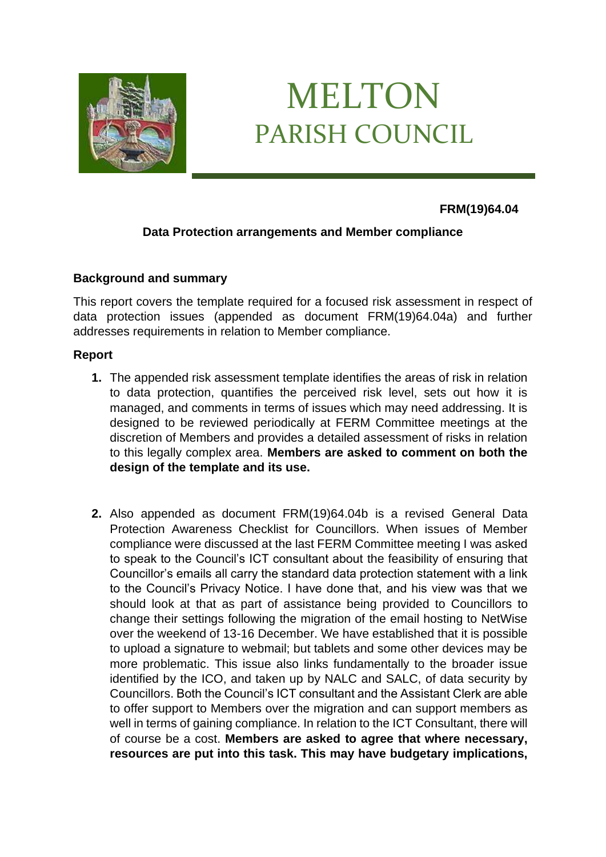

# MELTON PARISH COUNCIL

#### **FRM(19)64.04**

### **Data Protection arrangements and Member compliance**

#### **Background and summary**

This report covers the template required for a focused risk assessment in respect of data protection issues (appended as document FRM(19)64.04a) and further addresses requirements in relation to Member compliance.

#### **Report**

- **1.** The appended risk assessment template identifies the areas of risk in relation to data protection, quantifies the perceived risk level, sets out how it is managed, and comments in terms of issues which may need addressing. It is designed to be reviewed periodically at FERM Committee meetings at the discretion of Members and provides a detailed assessment of risks in relation to this legally complex area. **Members are asked to comment on both the design of the template and its use.**
- **2.** Also appended as document FRM(19)64.04b is a revised General Data Protection Awareness Checklist for Councillors. When issues of Member compliance were discussed at the last FERM Committee meeting I was asked to speak to the Council's ICT consultant about the feasibility of ensuring that Councillor's emails all carry the standard data protection statement with a link to the Council's Privacy Notice. I have done that, and his view was that we should look at that as part of assistance being provided to Councillors to change their settings following the migration of the email hosting to NetWise over the weekend of 13-16 December. We have established that it is possible to upload a signature to webmail; but tablets and some other devices may be more problematic. This issue also links fundamentally to the broader issue identified by the ICO, and taken up by NALC and SALC, of data security by Councillors. Both the Council's ICT consultant and the Assistant Clerk are able to offer support to Members over the migration and can support members as well in terms of gaining compliance. In relation to the ICT Consultant, there will of course be a cost. **Members are asked to agree that where necessary, resources are put into this task. This may have budgetary implications,**